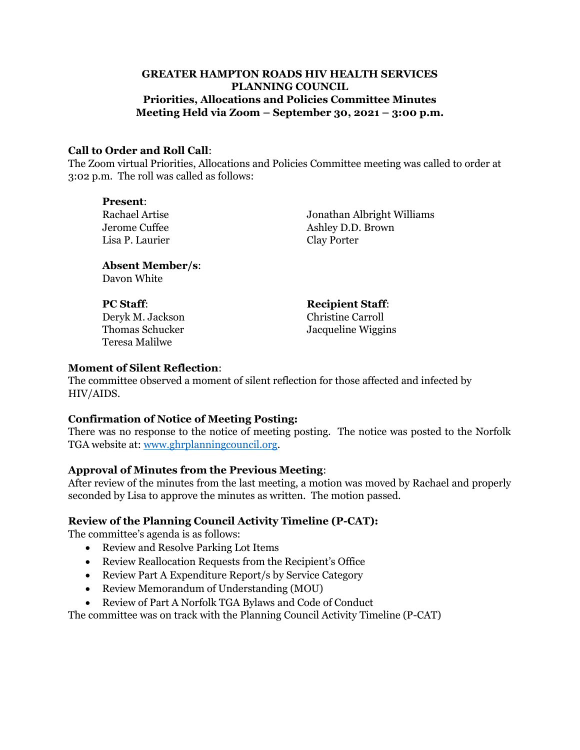## **GREATER HAMPTON ROADS HIV HEALTH SERVICES PLANNING COUNCIL Priorities, Allocations and Policies Committee Minutes Meeting Held via Zoom – September 30, 2021 – 3:00 p.m.**

### **Call to Order and Roll Call**:

The Zoom virtual Priorities, Allocations and Policies Committee meeting was called to order at 3:02 p.m. The roll was called as follows:

**Present**: Lisa P. Laurier Clay Porter

Rachael Artise Jonathan Albright Williams Jerome Cuffee Ashley D.D. Brown

**Absent Member/s**: Davon White

**PC Staff: Recipient Staff:** Deryk M. Jackson Christine Carroll Teresa Malilwe

Thomas Schucker Jacqueline Wiggins

### **Moment of Silent Reflection**:

The committee 0bserved a moment of silent reflection for those affected and infected by HIV/AIDS.

### **Confirmation of Notice of Meeting Posting:**

There was no response to the notice of meeting posting. The notice was posted to the Norfolk TGA website at: [www.ghrplanningcouncil.org.](http://www.ghrplanningcouncil.org/)

### **Approval of Minutes from the Previous Meeting**:

After review of the minutes from the last meeting, a motion was moved by Rachael and properly seconded by Lisa to approve the minutes as written. The motion passed.

### **Review of the Planning Council Activity Timeline (P-CAT):**

The committee's agenda is as follows:

- Review and Resolve Parking Lot Items
- Review Reallocation Requests from the Recipient's Office
- Review Part A Expenditure Report/s by Service Category
- Review Memorandum of Understanding (MOU)
- Review of Part A Norfolk TGA Bylaws and Code of Conduct

The committee was on track with the Planning Council Activity Timeline (P-CAT)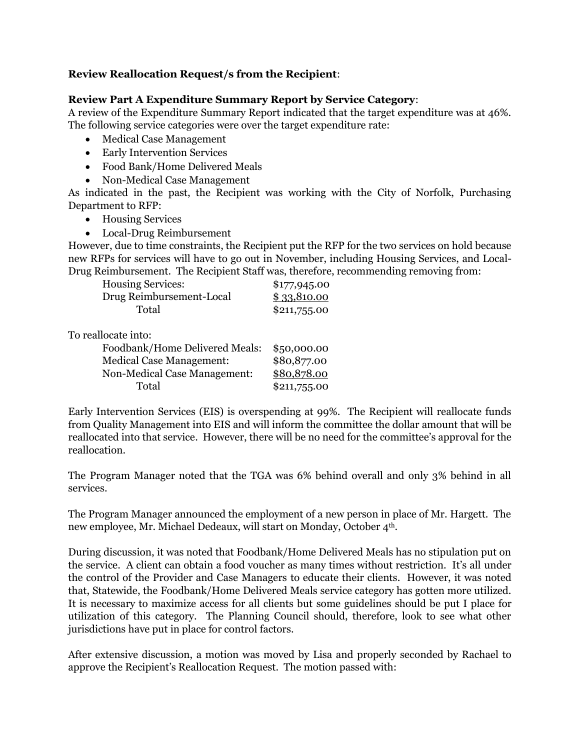## **Review Reallocation Request/s from the Recipient**:

### **Review Part A Expenditure Summary Report by Service Category**:

A review of the Expenditure Summary Report indicated that the target expenditure was at 46%. The following service categories were over the target expenditure rate:

- Medical Case Management
- Early Intervention Services
- Food Bank/Home Delivered Meals
- Non-Medical Case Management

As indicated in the past, the Recipient was working with the City of Norfolk, Purchasing Department to RFP:

- Housing Services
- Local-Drug Reimbursement

However, due to time constraints, the Recipient put the RFP for the two services on hold because new RFPs for services will have to go out in November, including Housing Services, and Local-Drug Reimbursement. The Recipient Staff was, therefore, recommending removing from:

| <b>Housing Services:</b> | \$177,945.00 |
|--------------------------|--------------|
| Drug Reimbursement-Local | \$33,810.00  |
| Total                    | \$211,755.00 |

To reallocate into:

| Foodbank/Home Delivered Meals:  | \$50,000.00  |
|---------------------------------|--------------|
| <b>Medical Case Management:</b> | \$80,877.00  |
| Non-Medical Case Management:    | \$80,878.00  |
| Total                           | \$211,755.00 |

Early Intervention Services (EIS) is overspending at 99%. The Recipient will reallocate funds from Quality Management into EIS and will inform the committee the dollar amount that will be reallocated into that service. However, there will be no need for the committee's approval for the reallocation.

The Program Manager noted that the TGA was 6% behind overall and only 3% behind in all services.

The Program Manager announced the employment of a new person in place of Mr. Hargett. The new employee, Mr. Michael Dedeaux, will start on Monday, October 4th.

During discussion, it was noted that Foodbank/Home Delivered Meals has no stipulation put on the service. A client can obtain a food voucher as many times without restriction. It's all under the control of the Provider and Case Managers to educate their clients. However, it was noted that, Statewide, the Foodbank/Home Delivered Meals service category has gotten more utilized. It is necessary to maximize access for all clients but some guidelines should be put I place for utilization of this category. The Planning Council should, therefore, look to see what other jurisdictions have put in place for control factors.

After extensive discussion, a motion was moved by Lisa and properly seconded by Rachael to approve the Recipient's Reallocation Request. The motion passed with: